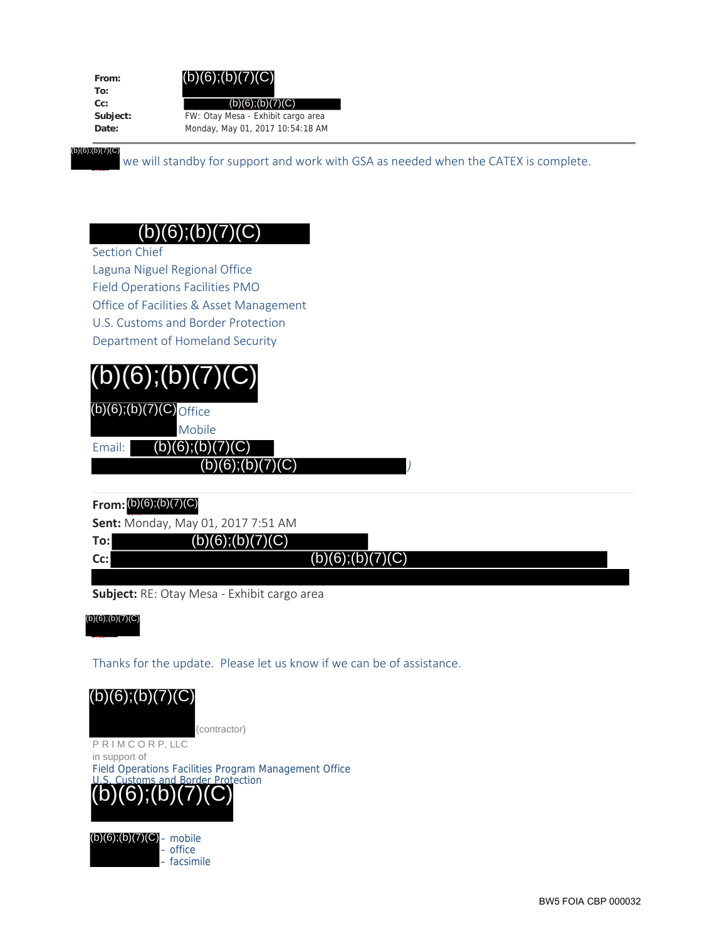**From: To: Cc:**

**Subject:** FW: Otay Mesa - Exhibit cargo area **Date:** Monday, May 01, 2017 10:54:18 AM  $(b)(6)$ ;(b)(7)(C)

(7) (b)(6);(b)(7)(C)

we will standby for support and work with GSA as needed when the CATEX is complete.

## $(b)(6);(b)(7)(C)$

Section Chief

Laguna Niguel Regional Office Field Operations Facilities PMO Office of Facilities & Asset Management U.S. Customs and Border Protection Department of Homeland Security

| (b)(6); (b)(7)(C) |                               |  |  |  |  |  |
|-------------------|-------------------------------|--|--|--|--|--|
|                   | $(b)(6)$ ; $(b)(7)(C)$ office |  |  |  |  |  |
|                   | Mobile                        |  |  |  |  |  |
| Fmail: I          | (b)(6); (b)(7)(C)             |  |  |  |  |  |
|                   | <b>IG)</b>                    |  |  |  |  |  |

### **From:** (b) (7)(C), (b) (b)(6);(b)(7)(C)

**Sent:** Monday, May 01, 2017 7:51 AM

| To: |  |  |  |  | (b)(6); (b)(7)(C) |  |
|-----|--|--|--|--|-------------------|--|

**Cc:**

(7)

 $(b)(6);(b)(7)(C)$ 

*)*

**Subject:** RE: Otay Mesa - Exhibit cargo area

(b) (b)(6);(b)(7)(C)

Thanks for the update. Please let us know if we can be of assistance.  $\overline{b}$ 

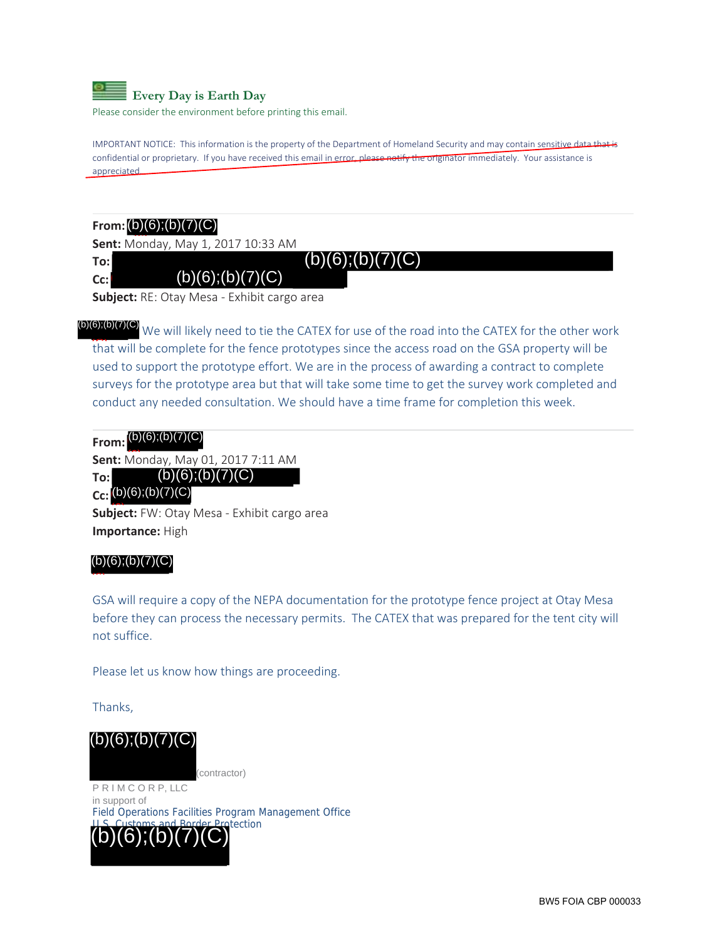

Please consider the environment before printing this email.

IMPORTANT NOTICE: This information is the property of the Department of Homeland Security and may contain sensitive data that is confidential or proprietary. If you have received this email in error, please notify the originator immediately. Your assistance is appreciated.

### **From:** (b) (7)(C), (b)

**Sent:** Monday, May 1, 2017 10:33 AM

**To: Cc:**

**Subject:** RE: Otay Mesa - Exhibit cargo area

 $(b)(6):(b)(7)(C)$ 

**D)(D)(O)** We will likely need to tie the CATEX for use of the road into the CATEX for the other work that will be complete for the fence prototypes since the access road on the GSA property will be used to support the prototype effort. We are in the process of awarding a contract to complete used to support the prototype effort. We are in the process of awarding a contract to complete surveys for the prototype area but that will take some time to get the survey work completed and conduct any needed consultation. We should have a time frame for completion this week. (6) (b)(6);(b)(7)(C) (b)(6);(b)(7)(C) (b)(6);(b)(7)(C) (b)(6);(b)(7)(C) (b)(6);(b)(7)(C) (b)(6);(b)(7)(C) (b)(6);(b)(7)(C) (b)(6);(b)(7)(C)

**From:** (b) (7)(C), (b)

**Sent:** Monday, May 01, 2017 7:11 AM

**To:**  $(b)(6)$ ; $(b)(7)(C)$ 

### **Cc:** (b)(6);(b)(7)(C

**Subject:** FW: Otay Mesa - Exhibit cargo area (6) **Importance:** High

#### $(b)(6); (b)(7)(C)$

 $\overline{\phantom{a}}$ 

GSA will require a copy of the NEPA documentation for the prototype fence project at Otay Mesa before they can process the necessary permits. The CATEX that was prepared for the tent city will not suffice.

Please let us know how things are proceeding.

Thanks,

(contractor)

P R I M C O R P, LLC in support of Field Operations Facilities Program Management Office otection (b)(6):(b  $(b)(6);(b)(7)(C)$ <br>
PRIMCORP, LLC<br>
in support of<br>
Field Operations Facilities Pro<br>  $(b)(6);(b)(7)(C)$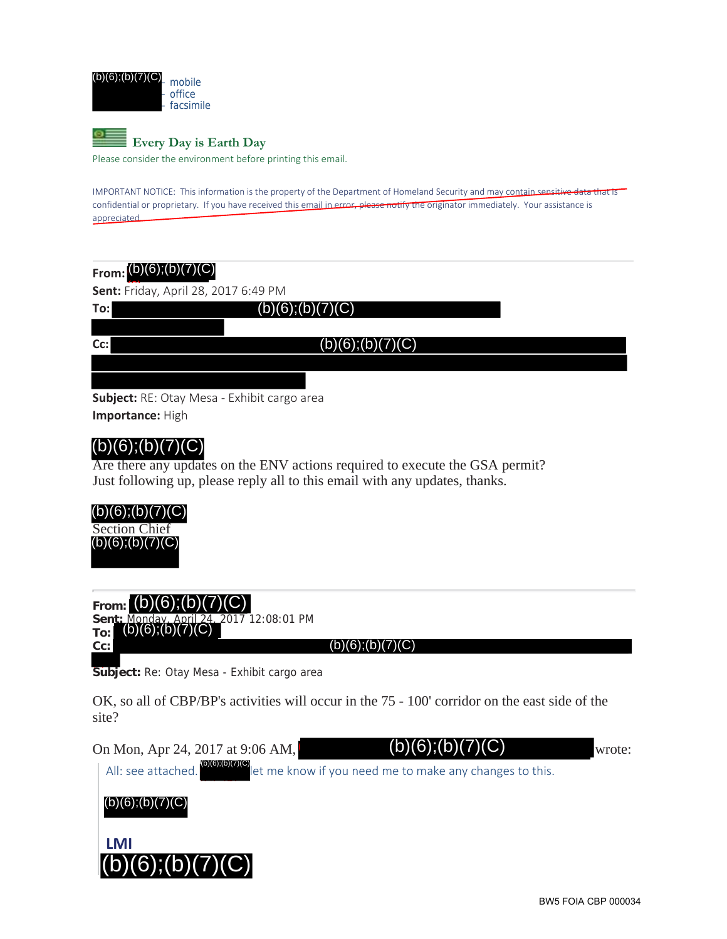



Please consider the environment before printing this email.

IMPORTANT NOTICE: This information is the property of the Department of Homeland Security and may contain sensitive data that is confidential or proprietary. If you have received this email in error, please notify the originator immediately. Your assistance is appreciated.

| From: $(b)(6)$ ; $(b)(7)(C)$         |                                             |  |  |  |  |  |
|--------------------------------------|---------------------------------------------|--|--|--|--|--|
| Sent: Friday, April 28, 2017 6:49 PM |                                             |  |  |  |  |  |
| To:l                                 | (b)(6); (b)(7)(C)                           |  |  |  |  |  |
|                                      |                                             |  |  |  |  |  |
| $Cc$ :                               | (b)(6); (b)(7)(C)                           |  |  |  |  |  |
|                                      |                                             |  |  |  |  |  |
|                                      |                                             |  |  |  |  |  |
|                                      | Subject: RE: Otay Mesa - Exhibit cargo area |  |  |  |  |  |

**Importance:** High

## $(b)(6);(b)(7)(C)$

Are there any updates on the ENV actions required to execute the GSA permit? Just following up, please reply all to this email with any updates, thanks.



| From: $(b)(6)$ ; $(b)(7)$ |  |  | ۱۱<br>v |  |
|---------------------------|--|--|---------|--|
|                           |  |  |         |  |

**Sent:** Monday, April 24, 2017 12:08:01 PM  $(b)(6);(b)(7)(C)$ 

**To: Cc:**

 $(b)(6); (b)(7)(C)$ 

Subject: Re: Otay Mesa - Exhibit cargo area

OK, so all of CBP/BP's activities will occur in the 75 - 100' corridor on the east side of the site?

On Mon, Apr 24, 2017 at 9:06 AM,  $(D)(6)$ ;  $(D)(7)(C)$  wrote:

 $(b)(6);(b)(7)$ 

All: see attached. **lettached** let me know if you need me to make any changes to this. (b) (7) (b)(6);(b)(7)(C)  $\sim$ 



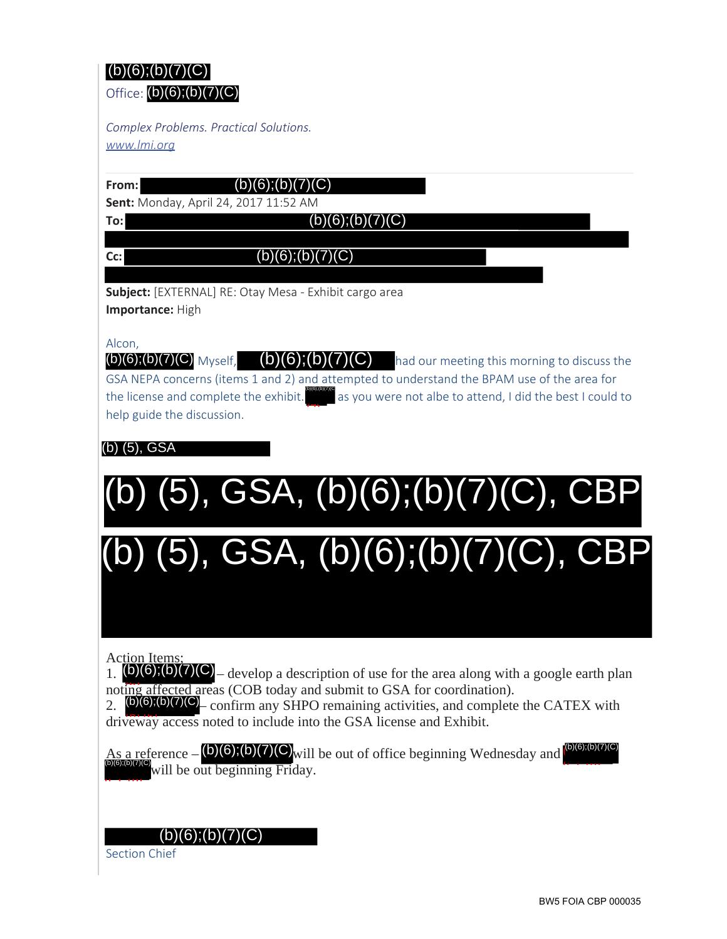# $(b)(6)$ ; $(b)(7)(C)$

Office: (b)(6);(b)(7)(C)

*Complex Problems. Practical Solutions. www.lmi.org*

**From: Sent:** Monday, April 24, 2017 11:52 AM  $(b)(6);(b)(7)(C)$ 

 $(b)(6)$ ; $(b)(7)(C)$ 

**Subject:** [EXTERNAL] RE: Otay Mesa - Exhibit cargo area **Importance:** High

Alcon,

**To:**

**Cc:**

(b)(6);(b)(7)(C) Myself,  $(b)(6)$ ;(b)(7)(C) had our meeting this morning to discuss the GSA NEPA concerns (items 1 and 2) and attempted to understand the BPAM use of the area for the license and complete the exhibit.  $\Box$  as you were not albe to attend, I did the best I could to help guide the discussion. (b)(b),<br>) (7)

 $(b)(6)$ ; $(b)(7)(C)$ 

(b) (5), GSA

(b) (5), GSA, (b)(6);(b)(7)(C), CBP (b) (5), GSA, (b)(6);(b)(7)(C), CBP

Action Items;

1. (b)(6);(b)(7)(C) – develop a description of use for the area along with a google earth plan noting affected areas (COB today and submit to GSA for coordination).

2.  $(b)(6)(b)(7)(C)$  confirm any SHPO remaining activities, and complete the CATEX with driveway access noted to include into the GSA license and Exhibit.

 $\overline{A_{S}a}$  reference  $-\langle b\rangle\langle 6\rangle, \langle b\rangle\langle 7\rangle\langle 6\rangle$  will be out of office beginning Wednesday and  $\langle b\rangle\langle 6\rangle\langle 6\rangle$ will be out beginning Friday. (b)(6);(b)<br>  $\overline{\phantom{a}}$ (C), (b)  $\mathcal{L}(\mathsf{b})(6)$ ;(b)(7)(C)<sub>will</sub> be out of office beginning Wednesday and  $\mathcal{L}^{(\mathsf{b})(6)$ ;(b)(7)(C) (b)(6);(b)(7)(C)

 $(b)(6)$ ; $(b)(7)(C)$ 

Section Chief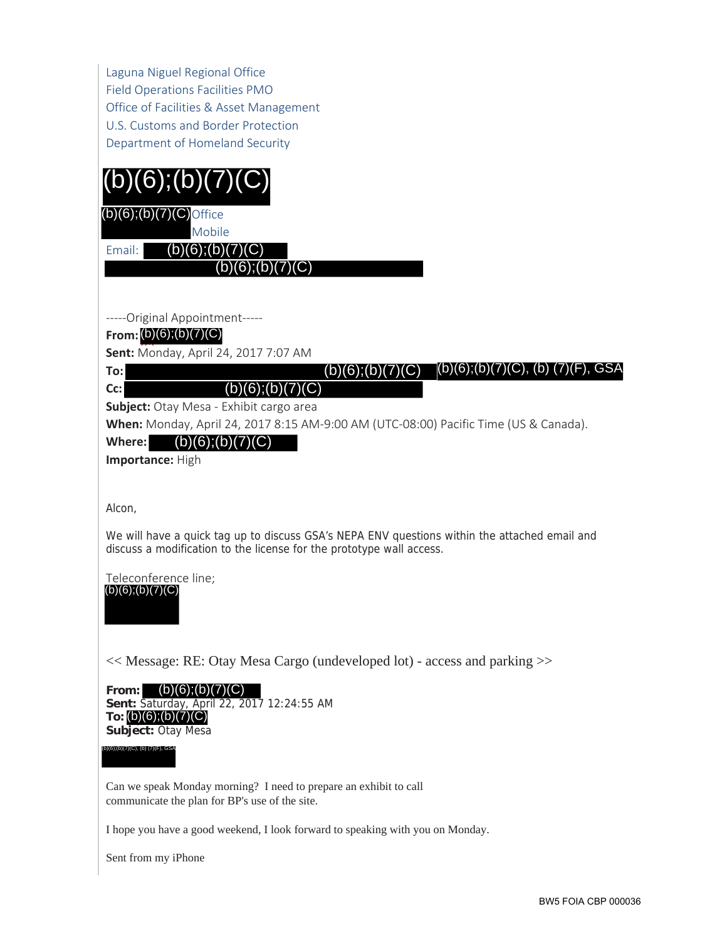Laguna Niguel Regional Office Field Operations Facilities PMO Office of Facilities & Asset Management U.S. Customs and Border Protection Department of Homeland Security



 $(b)(6)$ ; $(b)(7)(C)$ Office

Mobile

 $(b)(6);(b)(7)(C)$ 

 $(b)(6);(b)(7)(C)$ 

-----Original Appointment-----

#### **From:** (b) (7)(C), (b) (b)(6);(b)(7)(C)

**Sent:** Monday, April 24, 2017 7:07 AM

**To:**  $\overline{\phantom{a}}$ 

Email:

**Cc:**

**Subject:** Otay Mesa - Exhibit cargo area  $(b)(6);(b)(7)(C)$ 

**When:** Monday, April 24, 2017 8:15 AM-9:00 AM (UTC-08:00) Pacific Time (US & Canada).

 $(b)(6); (b)(7)(C)$ 

Where: (b)(6);(b)(7)(C)

**Importance:** High

Alcon,

We will have a quick tag up to discuss GSA's NEPA ENV questions within the attached email and discuss a modification to the license for the prototype wall access. To:<br>
(b)(6);(b)(7)(C) (b)(6);(b)(7)(C) (b)(6);(b)(7)(C), (b) (7)(F), GSA<br>
subject: Otay Mesa - Exhibit cargo area<br>
When: Monday, April 24, 2017 8:15 AM-9:00 AM (UTC-08:00) Pacific Time (US & Canada).<br>
Where: **(b)(6);(b)(7** 

Teleconference line;  $(b)(6)$ ; $(b)(7)(C)$ 

<< Message: RE: Otay Mesa Cargo (undeveloped lot) - access and parking >>

**From:** (b)(6);(b)(7)(C) **Sent:** Saturday, April 22, 2017 12:24:55 AM **To:** (b) (7)(C), (b) (b)(6);(b)(7)(C) Subject: Otay Mesa

Can we speak Monday morning? I need to prepare an exhibit to call communicate the plan for BP's use of the site.

I hope you have a good weekend, I look forward to speaking with you on Monday.

Sent from my iPhone